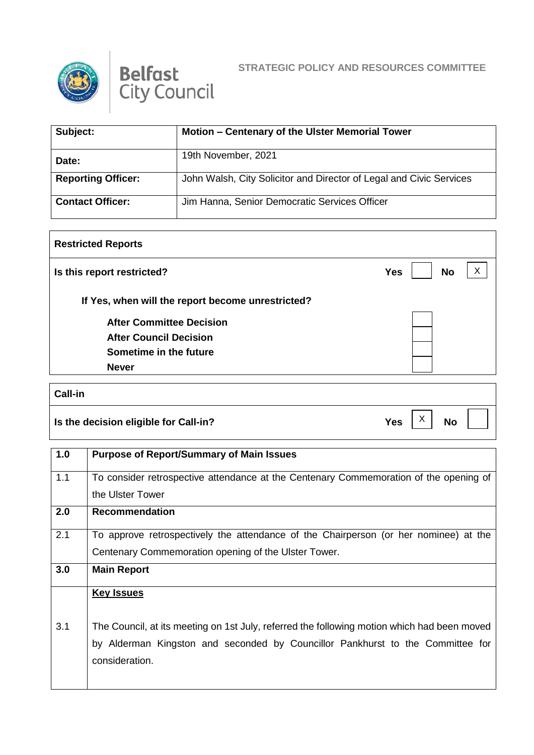



## **STRATEGIC POLICY AND RESOURCES COMMITTEE**

| Subject:                  | Motion - Centenary of the Ulster Memorial Tower                     |
|---------------------------|---------------------------------------------------------------------|
| Date:                     | 19th November, 2021                                                 |
| <b>Reporting Officer:</b> | John Walsh, City Solicitor and Director of Legal and Civic Services |
| <b>Contact Officer:</b>   | Jim Hanna, Senior Democratic Services Officer                       |

| <b>Restricted Reports</b>                         |                         |
|---------------------------------------------------|-------------------------|
| Is this report restricted?                        | <b>No</b><br><b>Yes</b> |
| If Yes, when will the report become unrestricted? |                         |
| <b>After Committee Decision</b>                   |                         |
| <b>After Council Decision</b>                     |                         |
| Sometime in the future                            |                         |
| <b>Never</b>                                      |                         |

| <b>Call-in</b>                        |     |                   |           |  |
|---------------------------------------|-----|-------------------|-----------|--|
| Is the decision eligible for Call-in? | Yes | $\checkmark$<br>∧ | <b>No</b> |  |

| 1.0 | <b>Purpose of Report/Summary of Main Issues</b>                                                                                                                                                 |
|-----|-------------------------------------------------------------------------------------------------------------------------------------------------------------------------------------------------|
| 1.1 | To consider retrospective attendance at the Centenary Commemoration of the opening of                                                                                                           |
|     | the Ulster Tower                                                                                                                                                                                |
| 2.0 | <b>Recommendation</b>                                                                                                                                                                           |
| 2.1 | To approve retrospectively the attendance of the Chairperson (or her nominee) at the                                                                                                            |
|     | Centenary Commemoration opening of the Ulster Tower.                                                                                                                                            |
| 3.0 | <b>Main Report</b>                                                                                                                                                                              |
|     | <b>Key Issues</b>                                                                                                                                                                               |
| 3.1 | The Council, at its meeting on 1st July, referred the following motion which had been moved<br>by Alderman Kingston and seconded by Councillor Pankhurst to the Committee for<br>consideration. |
|     |                                                                                                                                                                                                 |